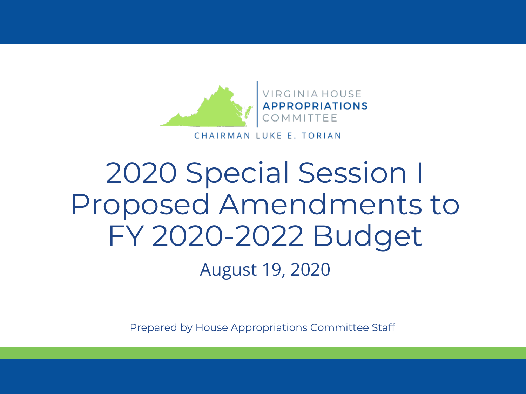

#### CHAIRMAN LUKE E. TORIAN

### August 19, 2020 2020 Special Session I Proposed Amendments to FY 2020-2022 Budget

Prepared by House Appropriations Committee Staff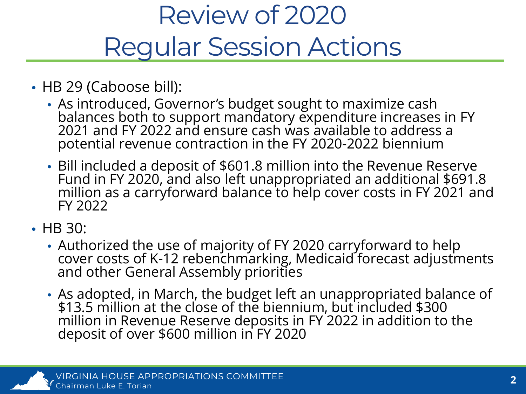### Review of 2020 Regular Session Actions

- HB 29 (Caboose bill):
	- As introduced, Governor's budget sought to maximize cash balances both to support mandatory expenditure increases in FY 2021 and FY 2022 and ensure cash was available to address a potential revenue contraction in the FY 2020-2022 biennium
	- Bill included a deposit of \$601.8 million into the Revenue Reserve Fund in FY 2020, and also left unappropriated an additional \$691.8 million as a carryforward balance to help cover costs in FY 2021 and FY 2022
- HB 30:
	- Authorized the use of majority of FY 2020 carryforward to help cover costs of K-12 rebenchmarking, Medicaid forecast adjustments<br>and other General Assembly priorities
	- As adopted, in March, the budget left an unappropriated balance of \$13.5 million at the close of the biennium, but included \$300 million in Revenue Reserve deposits in FY 2022 in addition to the deposit of over \$600 million in FY 2020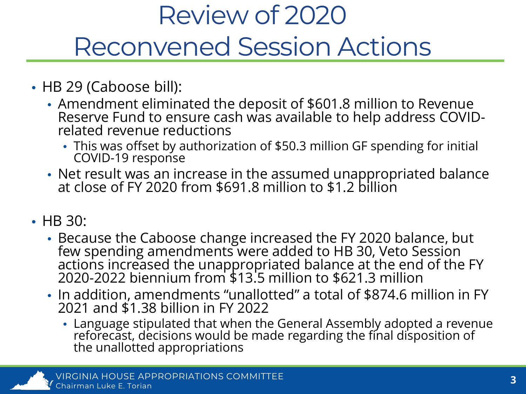### Review of 2020 Reconvened Session Actions

- HB 29 (Caboose bill):
	- Amendment eliminated the deposit of \$601.8 million to Revenue Reserve Fund to ensure cash was available to help address COVID-<br>related revenue reductions
		- This was offset by authorization of \$50.3 million GF spending for initial COVID-19 response
	- Net result was an increase in the assumed unappropriated balance at close of FY 2020 from \$691.8 million to \$1.2 billion
- HB 30:
	- Because the Caboose change increased the FY 2020 balance, but few spending amendments were added to HB 30, Veto Session actions increased the unappropriated balance at the end of the FY 2020-2022 biennium from \$13.5 million to \$621.3 million
	- In addition, amendments "unallotted" a total of \$874.6 million in FY 2021 and \$1.38 billion in FY 2022
		- Language stipulated that when the General Assembly adopted a revenue reforecast, decisions would be made regarding the final disposition of the unallotted appropriations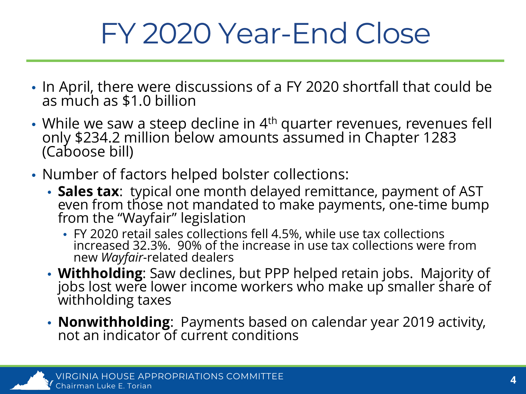## FY 2020 Year-End Close

- In April, there were discussions of a FY 2020 shortfall that could be as much as \$1.0 billion
- While we saw a steep decline in 4<sup>th</sup> quarter revenues, revenues fell only \$234.2 million below amounts assumed in Chapter 1283 (Caboose bill)
- Number of factors helped bolster collections:
	- **Sales tax**: typical one month delayed remittance, payment of AST even from those not mandated to make payments, one-time bump from the "Wayfair" legislation
		- FY 2020 retail sales collections fell 4.5%, while use tax collections increased 32.3%. 90% of the increase in use tax collections were from new *Wayfair-*related dealers
	- **Withholding**: Saw declines, but PPP helped retain jobs. Majority of jobs lost were lower income workers who make up smaller share of withholding taxes
	- **Nonwithholding**: Payments based on calendar year 2019 activity, not an indicator of current conditions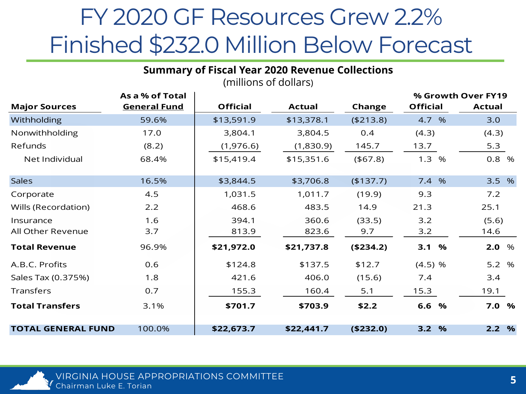#### FY 2020 GF Resources Grew 2.2% Finished \$232.0 Million Below Forecast

|                           |                     | (millions of dollars) |               |            |                    |               |
|---------------------------|---------------------|-----------------------|---------------|------------|--------------------|---------------|
|                           | As a % of Total     |                       |               |            | % Growth Over FY19 |               |
| <b>Major Sources</b>      | <b>General Fund</b> | <b>Official</b>       | <b>Actual</b> | Change     | <b>Official</b>    | <b>Actual</b> |
| Withholding               | 59.6%               | \$13,591.9            | \$13,378.1    | (\$213.8)  | 4.7 %              | 3.0           |
| Nonwithholding            | 17.0                | 3,804.1               | 3,804.5       | 0.4        | (4.3)              | (4.3)         |
| Refunds                   | (8.2)               | (1,976.6)             | (1,830.9)     | 145.7      | 13.7               | 5.3           |
| Net Individual            | 68.4%               | \$15,419.4            | \$15,351.6    | (467.8)    | 1.3<br>%           | 0.8 %         |
| <b>Sales</b>              | 16.5%               | \$3,844.5             | \$3,706.8     | (\$137.7)  | 7.4 %              | 3.5 %         |
| Corporate                 | 4.5                 | 1,031.5               | 1,011.7       | (19.9)     | 9.3                | 7.2           |
| Wills (Recordation)       | 2.2                 | 468.6                 | 483.5         | 14.9       | 21.3               | 25.1          |
| Insurance                 | 1.6                 | 394.1                 | 360.6         | (33.5)     | 3.2                | (5.6)         |
| All Other Revenue         | 3.7                 | 813.9                 | 823.6         | 9.7        | 3.2                | 14.6          |
| <b>Total Revenue</b>      | 96.9%               | \$21,972.0            | \$21,737.8    | ( \$234.2) | 3.1<br>$\%$        | 2.0%          |
| A.B.C. Profits            | 0.6                 | \$124.8               | \$137.5       | \$12.7     | $(4.5)$ %          | 5.2 %         |
| Sales Tax (0.375%)        | 1.8                 | 421.6                 | 406.0         | (15.6)     | 7.4                | 3.4           |
| Transfers                 | 0.7                 | 155.3                 | 160.4         | 5.1        | 15.3               | 19.1          |
| <b>Total Transfers</b>    | 3.1%                | \$701.7               | \$703.9       | \$2.2      | 6.6 %              | 7.0 %         |
| <b>TOTAL GENERAL FUND</b> | 100.0%              | \$22,673.7            | \$22,441.7    | (\$232.0)  | 3.2 %              | 2.2%          |

**Summary of Fiscal Year 2020 Revenue Collections** (millions of dollars)

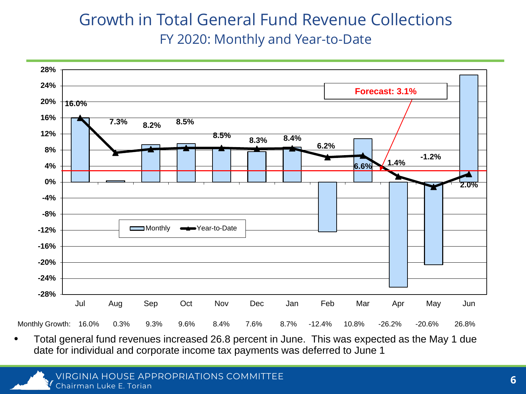#### Growth in Total General Fund Revenue Collections FY 2020: Monthly and Year-to-Date



• Total general fund revenues increased 26.8 percent in June. This was expected as the May 1 due date for individual and corporate income tax payments was deferred to June 1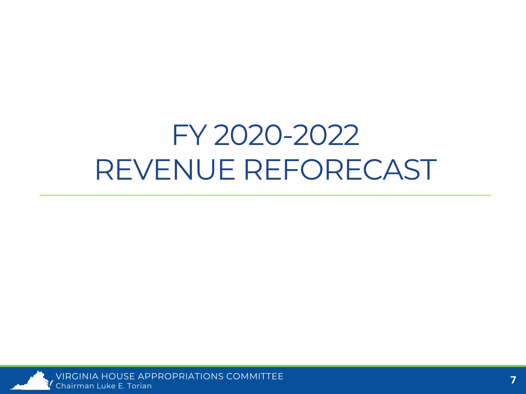## FY 2020-2022 REVENUE REFORECAST



VIRGINIA HOUSE APPROPRIATIONS COMMITTEE Chairman Luke E. Torian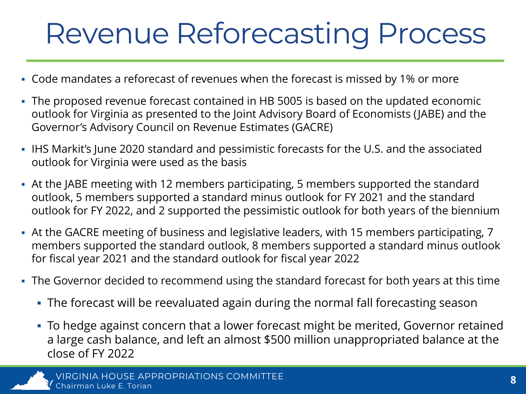## Revenue Reforecasting Process

- Code mandates a reforecast of revenues when the forecast is missed by 1% or more
- The proposed revenue forecast contained in HB 5005 is based on the updated economic outlook for Virginia as presented to the Joint Advisory Board of Economists (JABE) and the Governor's Advisory Council on Revenue Estimates (GACRE)
- IHS Markit's June 2020 standard and pessimistic forecasts for the U.S. and the associated outlook for Virginia were used as the basis
- At the JABE meeting with 12 members participating, 5 members supported the standard outlook, 5 members supported a standard minus outlook for FY 2021 and the standard outlook for FY 2022, and 2 supported the pessimistic outlook for both years of the biennium
- At the GACRE meeting of business and legislative leaders, with 15 members participating, 7 members supported the standard outlook, 8 members supported a standard minus outlook for fiscal year 2021 and the standard outlook for fiscal year 2022
- The Governor decided to recommend using the standard forecast for both years at this time
	- The forecast will be reevaluated again during the normal fall forecasting season
	- To hedge against concern that a lower forecast might be merited, Governor retained a large cash balance, and left an almost \$500 million unappropriated balance at the close of FY 2022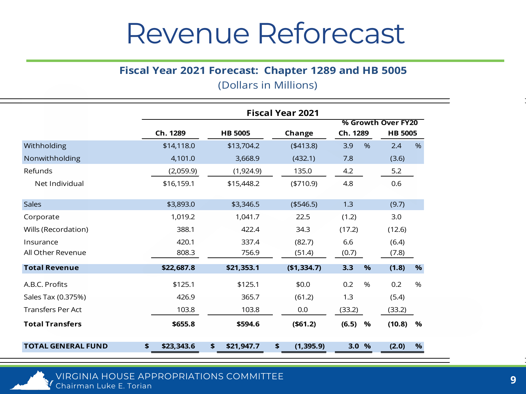#### Revenue Reforecast

#### **Fiscal Year 2021 Forecast: Chapter 1289 and HB 5005**

| (Dollars in Millions) |  |  |  |
|-----------------------|--|--|--|
|-----------------------|--|--|--|

|                           | <b>Fiscal Year 2021</b> |                  |                  |                    |                      |  |
|---------------------------|-------------------------|------------------|------------------|--------------------|----------------------|--|
|                           |                         |                  |                  | % Growth Over FY20 |                      |  |
|                           | Ch. 1289                | <b>HB 5005</b>   | Change           | Ch. 1289           | <b>HB 5005</b>       |  |
| Withholding               | \$14,118.0              | \$13,704.2       | $(*413.8)$       | 3.9<br>%           | 2.4<br>$\frac{9}{6}$ |  |
| Nonwithholding            | 4,101.0                 | 3,668.9          | (432.1)          | 7.8                | (3.6)                |  |
| Refunds                   | (2,059.9)               | (1,924.9)        | 135.0            | 4.2                | 5.2                  |  |
| Net Individual            | \$16,159.1              | \$15,448.2       | $(*710.9)$       | 4.8                | 0.6                  |  |
| <b>Sales</b>              | \$3,893.0               | \$3,346.5        | (\$546.5)        | 1.3                | (9.7)                |  |
| Corporate                 | 1,019.2                 | 1,041.7          | 22.5             | (1.2)              | 3.0                  |  |
| Wills (Recordation)       | 388.1                   | 422.4            | 34.3             | (17.2)             | (12.6)               |  |
| Insurance                 | 420.1                   | 337.4            | (82.7)           | 6.6                | (6.4)                |  |
| All Other Revenue         | 808.3                   | 756.9            | (51.4)           | (0.7)              | (7.8)                |  |
| <b>Total Revenue</b>      | \$22,687.8              | \$21,353.1       | (\$1,334.7)      | 3.3<br>%           | %<br>(1.8)           |  |
| A.B.C. Profits            | \$125.1                 | \$125.1          | \$0.0            | 0.2<br>%           | 0.2<br>%             |  |
| Sales Tax (0.375%)        | 426.9                   | 365.7            | (61.2)           | 1.3                | (5.4)                |  |
| <b>Transfers Per Act</b>  | 103.8                   | 103.8            | 0.0              | (33.2)             | (33.2)               |  |
| <b>Total Transfers</b>    | \$655.8                 | \$594.6          | ( \$61.2)        | (6.5)<br>%         | (10.8)<br>%          |  |
| <b>TOTAL GENERAL FUND</b> | \$23,343.6<br>\$        | \$<br>\$21,947.7 | \$<br>(1, 395.9) | 3.0%               | %<br>(2.0)           |  |

VIRGINIA HOUSE APPROPRIATIONS COMMITTEE Chairman Luke E. Torian **<sup>9</sup>**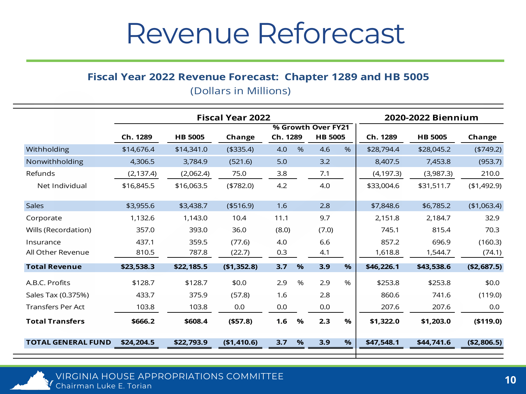#### Revenue Reforecast

#### **Fiscal Year 2022 Revenue Forecast: Chapter 1289 and HB 5005**

(Dollars in Millions)

|                           | <b>Fiscal Year 2022</b> |                    |             |             |                | 2020-2022 Biennium |                |             |
|---------------------------|-------------------------|--------------------|-------------|-------------|----------------|--------------------|----------------|-------------|
|                           |                         | % Growth Over FY21 |             |             |                |                    |                |             |
|                           | Ch. 1289                | <b>HB 5005</b>     | Change      | Ch. 1289    | <b>HB 5005</b> | Ch. 1289           | <b>HB 5005</b> | Change      |
| Withholding               | \$14,676.4              | \$14,341.0         | ( \$335.4)  | 4.0<br>$\%$ | 4.6<br>$\%$    | \$28,794.4         | \$28,045.2     | (4749.2)    |
| Nonwithholding            | 4,306.5                 | 3,784.9            | (521.6)     | 5.0         | 3.2            | 8,407.5            | 7,453.8        | (953.7)     |
| Refunds                   | (2, 137.4)              | (2,062.4)          | 75.0        | 3.8         | 7.1            | (4, 197.3)         | (3,987.3)      | 210.0       |
| Net Individual            | \$16,845.5              | \$16,063.5         | $(*782.0)$  | 4.2         | 4.0            | \$33,004.6         | \$31,511.7     | (\$1,492.9) |
|                           |                         |                    |             |             |                |                    |                |             |
| <b>Sales</b>              | \$3,955.6               | \$3,438.7          | ( \$516.9)  | 1.6         | 2.8            | \$7,848.6          | \$6,785.2      | (\$1,063.4) |
| Corporate                 | 1,132.6                 | 1,143.0            | 10.4        | 11.1        | 9.7            | 2,151.8            | 2,184.7        | 32.9        |
| Wills (Recordation)       | 357.0                   | 393.0              | 36.0        | (8.0)       | (7.0)          | 745.1              | 815.4          | 70.3        |
| Insurance                 | 437.1                   | 359.5              | (77.6)      | 4.0         | 6.6            | 857.2              | 696.9          | (160.3)     |
| All Other Revenue         | 810.5                   | 787.8              | (22.7)      | 0.3         | 4.1            | 1,618.8            | 1,544.7        | (74.1)      |
| <b>Total Revenue</b>      | \$23,538.3              | \$22,185.5         | (\$1,352.8) | 3.7<br>$\%$ | 3.9<br>$\%$    | \$46,226.1         | \$43,538.6     | (\$2,687.5) |
| A.B.C. Profits            | \$128.7                 | \$128.7            | \$0.0       | $\%$<br>2.9 | $\%$<br>2.9    | \$253.8            | \$253.8        | \$0.0       |
| Sales Tax (0.375%)        | 433.7                   | 375.9              | (57.8)      | 1.6         | 2.8            | 860.6              | 741.6          | (119.0)     |
| <b>Transfers Per Act</b>  | 103.8                   | 103.8              | 0.0         | 0.0         | 0.0            | 207.6              | 207.6          | 0.0         |
| <b>Total Transfers</b>    | \$666.2                 | \$608.4            | ( \$57.8)   | 1.6<br>$\%$ | 2.3<br>$\%$    | \$1,322.0          | \$1,203.0      | (\$119.0)   |
|                           |                         |                    |             |             |                |                    |                |             |
| <b>TOTAL GENERAL FUND</b> | \$24,204.5              | \$22,793.9         | (\$1,410.6) | 3.7<br>%    | %<br>3.9       | \$47,548.1         | \$44,741.6     | (\$2,806.5) |

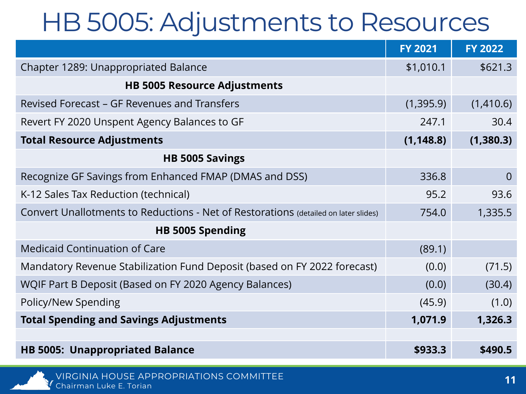#### HB 5005: Adjustments to Resources

|                                                                                     | <b>FY 2021</b> | <b>FY 2022</b> |
|-------------------------------------------------------------------------------------|----------------|----------------|
| Chapter 1289: Unappropriated Balance                                                | \$1,010.1      | \$621.3        |
| <b>HB 5005 Resource Adjustments</b>                                                 |                |                |
| Revised Forecast – GF Revenues and Transfers                                        | (1,395.9)      | (1,410.6)      |
| Revert FY 2020 Unspent Agency Balances to GF                                        | 247.1          | 30.4           |
| <b>Total Resource Adjustments</b>                                                   | (1, 148.8)     | (1,380.3)      |
| <b>HB 5005 Savings</b>                                                              |                |                |
| Recognize GF Savings from Enhanced FMAP (DMAS and DSS)                              | 336.8          | $\overline{0}$ |
| K-12 Sales Tax Reduction (technical)                                                | 95.2           | 93.6           |
| Convert Unallotments to Reductions - Net of Restorations (detailed on later slides) | 754.0          | 1,335.5        |
| HB 5005 Spending                                                                    |                |                |
| <b>Medicaid Continuation of Care</b>                                                | (89.1)         |                |
| Mandatory Revenue Stabilization Fund Deposit (based on FY 2022 forecast)            | (0.0)          | (71.5)         |
| WQIF Part B Deposit (Based on FY 2020 Agency Balances)                              | (0.0)          | (30.4)         |
| Policy/New Spending                                                                 | (45.9)         | (1.0)          |
| <b>Total Spending and Savings Adjustments</b>                                       | 1,071.9        | 1,326.3        |
|                                                                                     |                |                |
| <b>HB 5005: Unappropriated Balance</b>                                              | \$933.3        | \$490.5        |

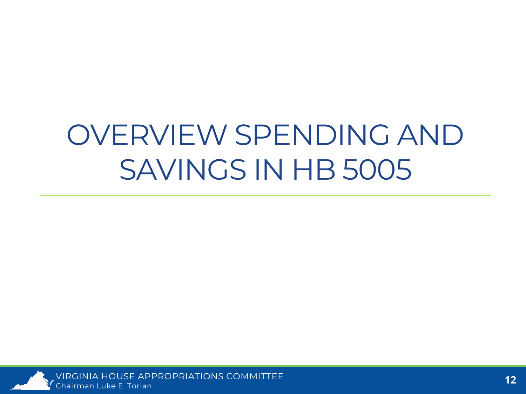## OVERVIEW SPENDING AND SAVINGS IN HB 5005



VIRGINIA HOUSE APPROPRIATIONS COMMITTEE Chairman Luke E. Torian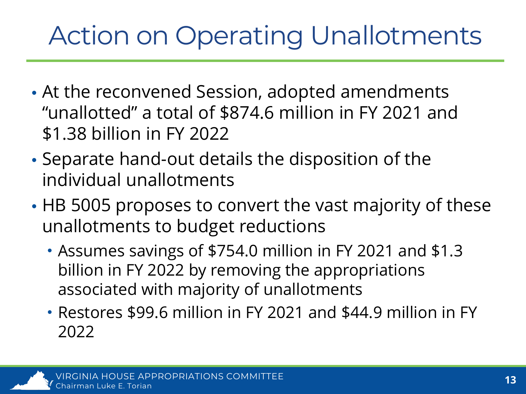### Action on Operating Unallotments

- At the reconvened Session, adopted amendments "unallotted" a total of \$874.6 million in FY 2021 and \$1.38 billion in FY 2022
- Separate hand-out details the disposition of the individual unallotments
- HB 5005 proposes to convert the vast majority of these unallotments to budget reductions
	- Assumes savings of \$754.0 million in FY 2021 and \$1.3 billion in FY 2022 by removing the appropriations associated with majority of unallotments
	- Restores \$99.6 million in FY 2021 and \$44.9 million in FY 2022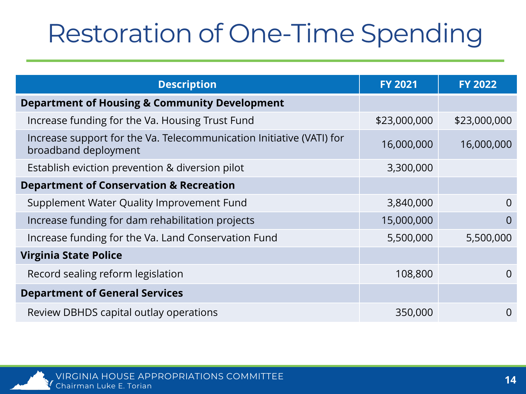### Restoration of One-Time Spending

| <b>Description</b>                                                                           | <b>FY 2021</b> | <b>FY 2022</b> |
|----------------------------------------------------------------------------------------------|----------------|----------------|
| <b>Department of Housing &amp; Community Development</b>                                     |                |                |
| Increase funding for the Va. Housing Trust Fund                                              | \$23,000,000   | \$23,000,000   |
| Increase support for the Va. Telecommunication Initiative (VATI) for<br>broadband deployment | 16,000,000     | 16,000,000     |
| Establish eviction prevention & diversion pilot                                              | 3,300,000      |                |
| <b>Department of Conservation &amp; Recreation</b>                                           |                |                |
| Supplement Water Quality Improvement Fund                                                    | 3,840,000      | 0              |
| Increase funding for dam rehabilitation projects                                             | 15,000,000     | $\overline{0}$ |
| Increase funding for the Va. Land Conservation Fund                                          | 5,500,000      | 5,500,000      |
| <b>Virginia State Police</b>                                                                 |                |                |
| Record sealing reform legislation                                                            | 108,800        | $\Omega$       |
| <b>Department of General Services</b>                                                        |                |                |
| Review DBHDS capital outlay operations                                                       | 350,000        | 0              |

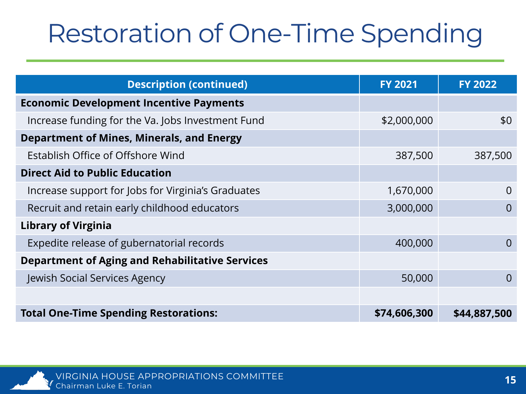### Restoration of One-Time Spending

| <b>Description (continued)</b>                         | <b>FY 2021</b> | <b>FY 2022</b> |
|--------------------------------------------------------|----------------|----------------|
| <b>Economic Development Incentive Payments</b>         |                |                |
| Increase funding for the Va. Jobs Investment Fund      | \$2,000,000    | \$0            |
| <b>Department of Mines, Minerals, and Energy</b>       |                |                |
| Establish Office of Offshore Wind                      | 387,500        | 387,500        |
| <b>Direct Aid to Public Education</b>                  |                |                |
| Increase support for Jobs for Virginia's Graduates     | 1,670,000      | $\Omega$       |
| Recruit and retain early childhood educators           | 3,000,000      | $\overline{0}$ |
| <b>Library of Virginia</b>                             |                |                |
| Expedite release of gubernatorial records              | 400,000        | $\Omega$       |
| <b>Department of Aging and Rehabilitative Services</b> |                |                |
| Jewish Social Services Agency                          | 50,000         | $\overline{0}$ |
|                                                        |                |                |
| <b>Total One-Time Spending Restorations:</b>           | \$74,606,300   | \$44,887,500   |

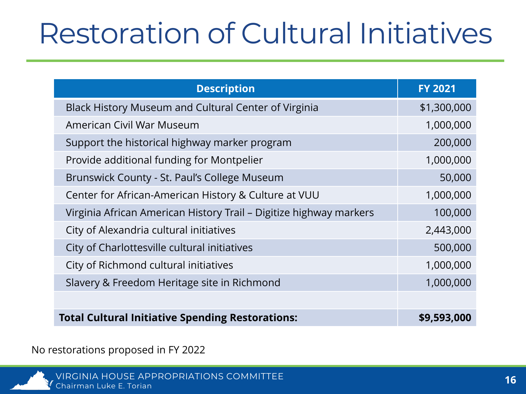## Restoration of Cultural Initiatives

| <b>Description</b>                                                 | <b>FY 2021</b> |
|--------------------------------------------------------------------|----------------|
| Black History Museum and Cultural Center of Virginia               | \$1,300,000    |
| American Civil War Museum                                          | 1,000,000      |
| Support the historical highway marker program                      | 200,000        |
| Provide additional funding for Montpelier                          | 1,000,000      |
| Brunswick County - St. Paul's College Museum                       | 50,000         |
| Center for African-American History & Culture at VUU               | 1,000,000      |
| Virginia African American History Trail - Digitize highway markers | 100,000        |
| City of Alexandria cultural initiatives                            | 2,443,000      |
| City of Charlottesville cultural initiatives                       | 500,000        |
| City of Richmond cultural initiatives                              | 1,000,000      |
| Slavery & Freedom Heritage site in Richmond                        | 1,000,000      |
|                                                                    |                |
| <b>Total Cultural Initiative Spending Restorations:</b>            | \$9,593,000    |

No restorations proposed in FY 2022

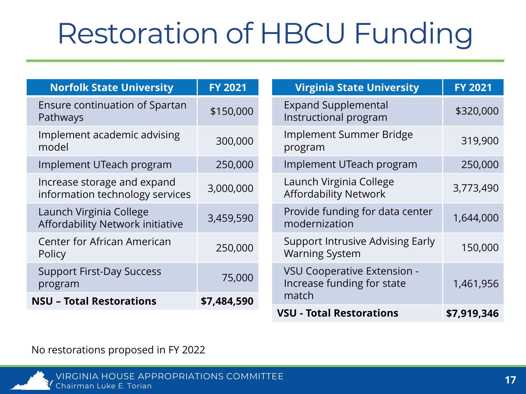## Restoration of HBCU Funding

| <b>Norfolk State University</b>                                | <b>FY 2021</b> | <b>Virginia State University</b>                                 | <b>FY 2021</b> |
|----------------------------------------------------------------|----------------|------------------------------------------------------------------|----------------|
| Ensure continuation of Spartan<br>Pathways                     | \$150,000      | <b>Expand Supplemental</b><br>Instructional program              | \$320,000      |
| Implement academic advising<br>model                           | 300,000        | Implement Summer Bridge<br>program                               | 319,900        |
| Implement UTeach program                                       | 250,000        | Implement UTeach program                                         | 250,000        |
| Increase storage and expand<br>information technology services | 3,000,000      | Launch Virginia College<br><b>Affordability Network</b>          | 3,773,490      |
| Launch Virginia College<br>Affordability Network initiative    | 3,459,590      | Provide funding for data center<br>modernization                 | 1,644,000      |
| Center for African American<br>Policy                          | 250,000        | <b>Support Intrusive Advising Early</b><br><b>Warning System</b> | 150,000        |
| <b>Support First-Day Success</b><br>program                    | 75,000         | VSU Cooperative Extension -<br>Increase funding for state        | 1,461,956      |
| <b>NSU - Total Restorations</b>                                | \$7,484,590    | match                                                            |                |
|                                                                |                | <b>VSU - Total Restorations</b>                                  | \$7,919,346    |

No restorations proposed in FY 2022

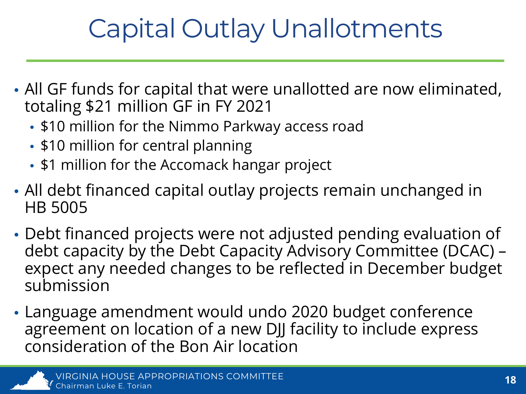### Capital Outlay Unallotments

- All GF funds for capital that were unallotted are now eliminated, totaling \$21 million GF in FY 2021
	- \$10 million for the Nimmo Parkway access road
	- \$10 million for central planning
	- \$1 million for the Accomack hangar project
- All debt financed capital outlay projects remain unchanged in HB 5005
- Debt financed projects were not adjusted pending evaluation of debt capacity by the Debt Capacity Advisory Committee (DCAC) – expect any needed changes to be reflected in December budget submission
- Language amendment would undo 2020 budget conference agreement on location of a new DJJ facility to include express consideration of the Bon Air location

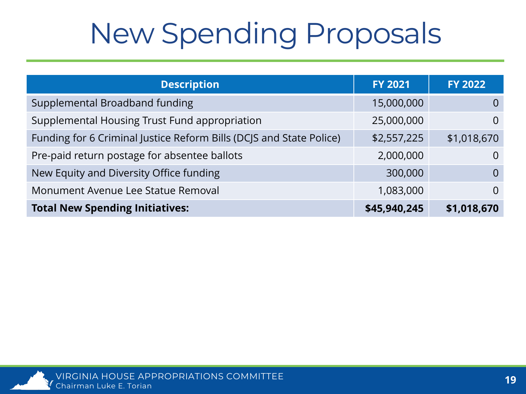## New Spending Proposals

| <b>Description</b>                                                  | <b>FY 2021</b> | <b>FY 2022</b> |
|---------------------------------------------------------------------|----------------|----------------|
| Supplemental Broadband funding                                      | 15,000,000     | $\Omega$       |
| Supplemental Housing Trust Fund appropriation                       | 25,000,000     | $\Omega$       |
| Funding for 6 Criminal Justice Reform Bills (DCJS and State Police) | \$2,557,225    | \$1,018,670    |
| Pre-paid return postage for absentee ballots                        | 2,000,000      | $\Omega$       |
| New Equity and Diversity Office funding                             | 300,000        | $\Omega$       |
| Monument Avenue Lee Statue Removal                                  | 1,083,000      | $\Omega$       |
| <b>Total New Spending Initiatives:</b>                              | \$45,940,245   | \$1,018,670    |

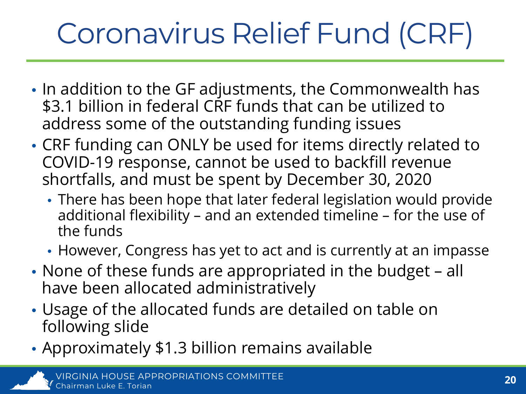# Coronavirus Relief Fund (CRF)

- In addition to the GF adjustments, the Commonwealth has \$3.1 billion in federal CRF funds that can be utilized to address some of the outstanding funding issues
- CRF funding can ONLY be used for items directly related to COVID-19 response, cannot be used to backfill revenue shortfalls, and must be spent by December 30, 2020
	- There has been hope that later federal legislation would provide additional flexibility – and an extended timeline – for the use of the funds
	- However, Congress has yet to act and is currently at an impasse
- None of these funds are appropriated in the budget all have been allocated administratively
- Usage of the allocated funds are detailed on table on following slide
- Approximately \$1.3 billion remains available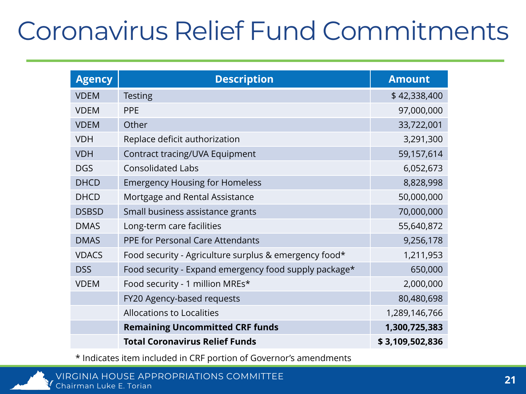#### Coronavirus Relief Fund Commitments

| <b>Agency</b> | <b>Description</b>                                    | <b>Amount</b>   |
|---------------|-------------------------------------------------------|-----------------|
| <b>VDEM</b>   | <b>Testing</b>                                        | \$42,338,400    |
| <b>VDEM</b>   | <b>PPE</b>                                            | 97,000,000      |
| <b>VDEM</b>   | Other                                                 | 33,722,001      |
| <b>VDH</b>    | Replace deficit authorization                         | 3,291,300       |
| <b>VDH</b>    | Contract tracing/UVA Equipment                        | 59,157,614      |
| <b>DGS</b>    | <b>Consolidated Labs</b>                              | 6,052,673       |
| <b>DHCD</b>   | <b>Emergency Housing for Homeless</b>                 | 8,828,998       |
| <b>DHCD</b>   | Mortgage and Rental Assistance                        | 50,000,000      |
| <b>DSBSD</b>  | Small business assistance grants                      | 70,000,000      |
| <b>DMAS</b>   | Long-term care facilities                             | 55,640,872      |
| <b>DMAS</b>   | PPE for Personal Care Attendants                      | 9,256,178       |
| <b>VDACS</b>  | Food security - Agriculture surplus & emergency food* | 1,211,953       |
| <b>DSS</b>    | Food security - Expand emergency food supply package* | 650,000         |
| <b>VDEM</b>   | Food security - 1 million MREs*                       | 2,000,000       |
|               | FY20 Agency-based requests                            | 80,480,698      |
|               | <b>Allocations to Localities</b>                      | 1,289,146,766   |
|               | <b>Remaining Uncommitted CRF funds</b>                | 1,300,725,383   |
|               | <b>Total Coronavirus Relief Funds</b>                 | \$3,109,502,836 |

\* Indicates item included in CRF portion of Governor's amendments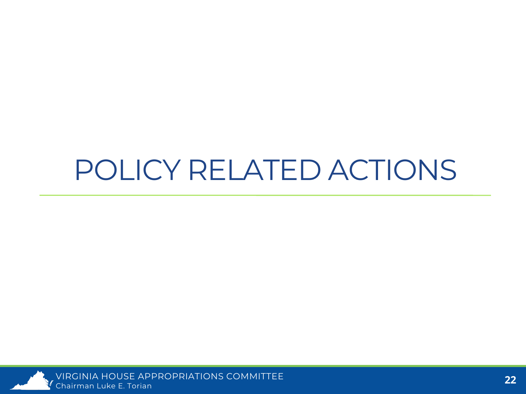### POLICY RELATED ACTIONS



VIRGINIA HOUSE APPROPRIATIONS COMMITTEE Chairman Luke E. Torian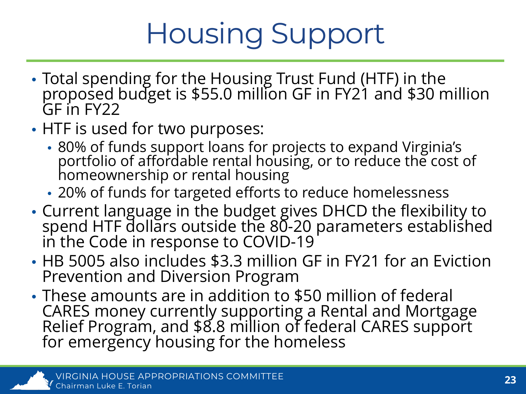## Housing Support

- Total spending for the Housing Trust Fund (HTF) in the proposed budget is \$55.0 million GF in FY21 and \$30 million GF in FY22
- HTF is used for two purposes:
	- 80% of funds support loans for projects to expand Virginia's portfolio of affordable rental housing, or to reduce the cost of homeownership or rental housing
	- 20% of funds for targeted efforts to reduce homelessness
- Current language in the budget gives DHCD the flexibility to spend HTF dollars outside the 80-20 parameters established<br>in the Code in response to COVID-19
- HB 5005 also includes \$3.3 million GF in FY21 for an Eviction Prevention and Diversion Program
- These amounts are in addition to \$50 million of federal CARES money currently supporting a Rental and Mortgage Relief Program, and \$8.8 million of federal CARES support for emergency housing for the homeless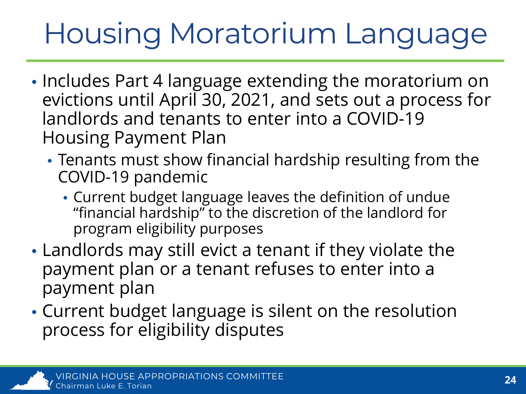## Housing Moratorium Language

- Includes Part 4 language extending the moratorium on evictions until April 30, 2021, and sets out a process for landlords and tenants to enter into a COVID-19 Housing Payment Plan
	- Tenants must show financial hardship resulting from the COVID-19 pandemic
		- Current budget language leaves the definition of undue "financial hardship" to the discretion of the landlord for program eligibility purposes
- Landlords may still evict a tenant if they violate the payment plan or a tenant refuses to enter into a payment plan
- Current budget language is silent on the resolution process for eligibility disputes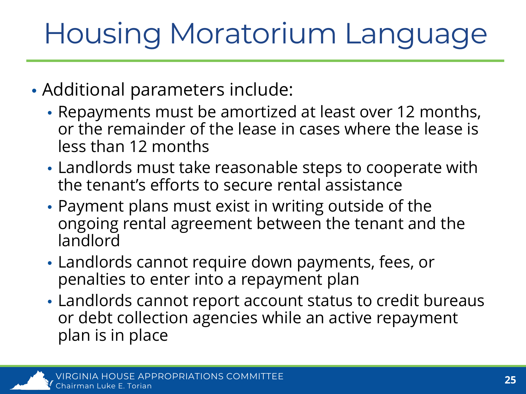## Housing Moratorium Language

- Additional parameters include:
	- Repayments must be amortized at least over 12 months, or the remainder of the lease in cases where the lease is less than 12 months
	- Landlords must take reasonable steps to cooperate with the tenant's efforts to secure rental assistance
	- Payment plans must exist in writing outside of the ongoing rental agreement between the tenant and the landlord
	- Landlords cannot require down payments, fees, or penalties to enter into a repayment plan
	- Landlords cannot report account status to credit bureaus or debt collection agencies while an active repayment plan is in place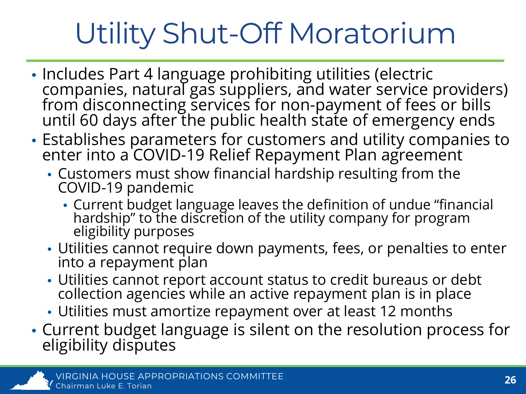# Utility Shut-Off Moratorium

- Includes Part 4 language prohibiting utilities (electric companies, natural gas suppliers, and water service providers) from disconnecting services for non-payment of fees or bills until 60 days after the public health state of emergency ends
- Establishes parameters for customers and utility companies to enter into a COVID-19 Relief Repayment Plan agreement
	- Customers must show financial hardship resulting from the COVID-19 pandemic
		- Current budget language leaves the definition of undue "financial hardship" to the discretion of the utility company for program<br>eligibility purposes
	- Utilities cannot require down payments, fees, or penalties to enter into a repayment plan
	- Utilities cannot report account status to credit bureaus or debt collection agencies while an active repayment plan is in place
	- Utilities must amortize repayment over at least 12 months
- Current budget language is silent on the resolution process for eligibility disputes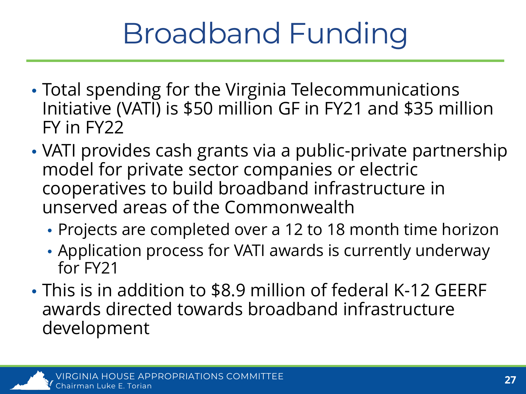## Broadband Funding

- Total spending for the Virginia Telecommunications Initiative (VATI) is \$50 million GF in FY21 and \$35 million FY in FY22
- VATI provides cash grants via a public-private partnership model for private sector companies or electric cooperatives to build broadband infrastructure in unserved areas of the Commonwealth
	- Projects are completed over a 12 to 18 month time horizon
	- Application process for VATI awards is currently underway for FY21
- This is in addition to \$8.9 million of federal K-12 GEERF awards directed towards broadband infrastructure development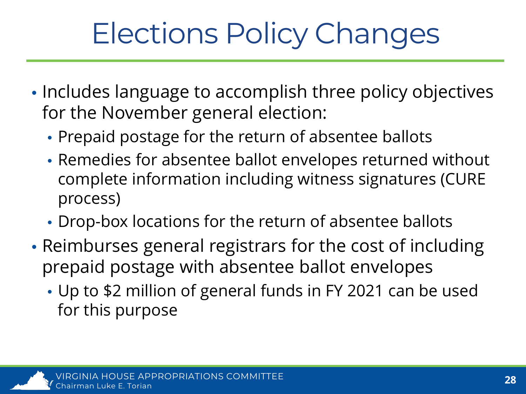## Elections Policy Changes

- Includes language to accomplish three policy objectives for the November general election:
	- Prepaid postage for the return of absentee ballots
	- Remedies for absentee ballot envelopes returned without complete information including witness signatures (CURE process)
	- Drop-box locations for the return of absentee ballots
- Reimburses general registrars for the cost of including prepaid postage with absentee ballot envelopes
	- Up to \$2 million of general funds in FY 2021 can be used for this purpose

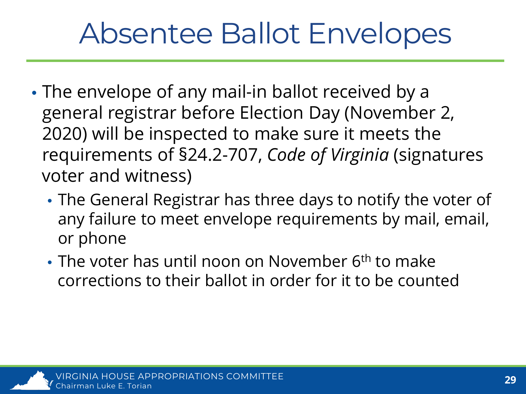## Absentee Ballot Envelopes

- The envelope of any mail-in ballot received by a general registrar before Election Day (November 2, 2020) will be inspected to make sure it meets the requirements of §24.2-707, *Code of Virginia* (signatures voter and witness)
	- The General Registrar has three days to notify the voter of any failure to meet envelope requirements by mail, email, or phone
	- The voter has until noon on November 6<sup>th</sup> to make corrections to their ballot in order for it to be counted

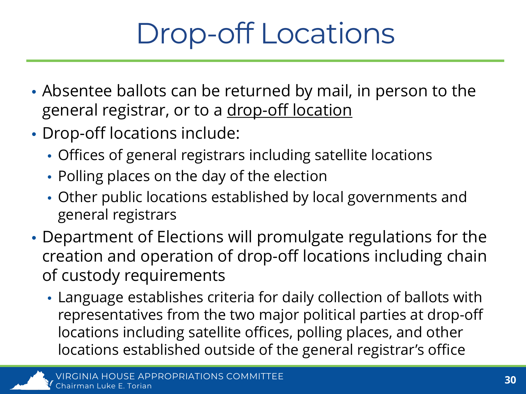## Drop-off Locations

- Absentee ballots can be returned by mail, in person to the general registrar, or to a drop-off location
- Drop-off locations include:
	- Offices of general registrars including satellite locations
	- Polling places on the day of the election
	- Other public locations established by local governments and general registrars
- Department of Elections will promulgate regulations for the creation and operation of drop-off locations including chain of custody requirements
	- Language establishes criteria for daily collection of ballots with representatives from the two major political parties at drop-off locations including satellite offices, polling places, and other locations established outside of the general registrar's office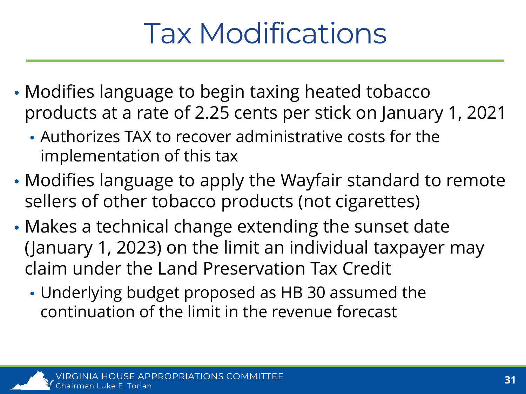## Tax Modifications

- Modifies language to begin taxing heated tobacco products at a rate of 2.25 cents per stick on January 1, 2021
	- Authorizes TAX to recover administrative costs for the implementation of this tax
- Modifies language to apply the Wayfair standard to remote sellers of other tobacco products (not cigarettes)
- Makes a technical change extending the sunset date (January 1, 2023) on the limit an individual taxpayer may claim under the Land Preservation Tax Credit
	- Underlying budget proposed as HB 30 assumed the continuation of the limit in the revenue forecast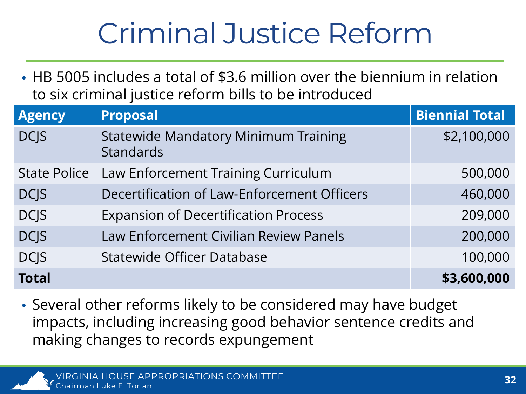## Criminal Justice Reform

• HB 5005 includes a total of \$3.6 million over the biennium in relation to six criminal justice reform bills to be introduced

| <b>Agency</b>       | <b>Proposal</b>                                                 | <b>Biennial Total</b> |
|---------------------|-----------------------------------------------------------------|-----------------------|
| <b>DCJS</b>         | <b>Statewide Mandatory Minimum Training</b><br><b>Standards</b> | \$2,100,000           |
| <b>State Police</b> | Law Enforcement Training Curriculum                             | 500,000               |
| <b>DCJS</b>         | Decertification of Law-Enforcement Officers                     | 460,000               |
| <b>DCJS</b>         | <b>Expansion of Decertification Process</b>                     | 209,000               |
| <b>DCJS</b>         | Law Enforcement Civilian Review Panels                          | 200,000               |
| <b>DCJS</b>         | <b>Statewide Officer Database</b>                               | 100,000               |
| <b>Total</b>        |                                                                 | \$3,600,000           |

• Several other reforms likely to be considered may have budget impacts, including increasing good behavior sentence credits and making changes to records expungement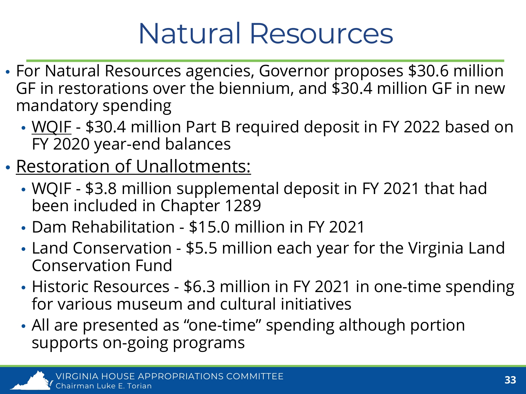## Natural Resources

- For Natural Resources agencies, Governor proposes \$30.6 million GF in restorations over the biennium, and \$30.4 million GF in new mandatory spending
	- WQIF \$30.4 million Part B required deposit in FY 2022 based on FY 2020 year-end balances
- Restoration of Unallotments:
	- WQIF \$3.8 million supplemental deposit in FY 2021 that had been included in Chapter 1289
	- Dam Rehabilitation \$15.0 million in FY 2021
	- Land Conservation \$5.5 million each year for the Virginia Land Conservation Fund
	- Historic Resources \$6.3 million in FY 2021 in one-time spending for various museum and cultural initiatives
	- All are presented as "one-time" spending although portion supports on-going programs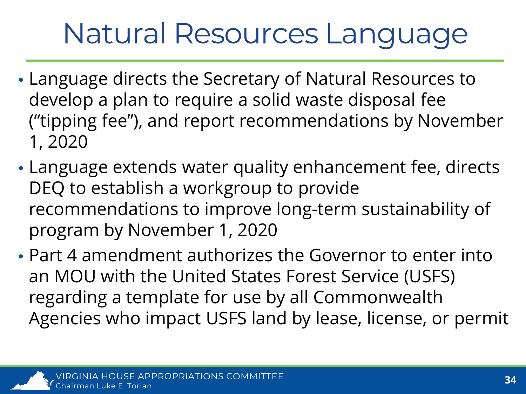## Natural Resources Language

- Language directs the Secretary of Natural Resources to develop a plan to require a solid waste disposal fee ("tipping fee"), and report recommendations by November 1, 2020
- Language extends water quality enhancement fee, directs DEQ to establish a workgroup to provide recommendations to improve long-term sustainability of program by November 1, 2020
- Part 4 amendment authorizes the Governor to enter into an MOU with the United States Forest Service (USFS) regarding a template for use by all Commonwealth Agencies who impact USFS land by lease, license, or permit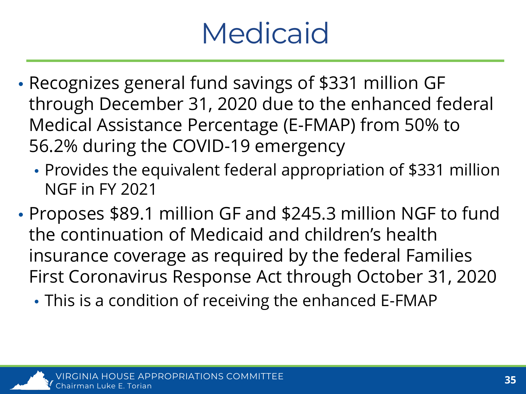## **Medicaid**

- Recognizes general fund savings of \$331 million GF through December 31, 2020 due to the enhanced federal Medical Assistance Percentage (E-FMAP) from 50% to 56.2% during the COVID-19 emergency
	- Provides the equivalent federal appropriation of \$331 million NGF in FY 2021
- Proposes \$89.1 million GF and \$245.3 million NGF to fund the continuation of Medicaid and children's health insurance coverage as required by the federal Families First Coronavirus Response Act through October 31, 2020
	- This is a condition of receiving the enhanced E-FMAP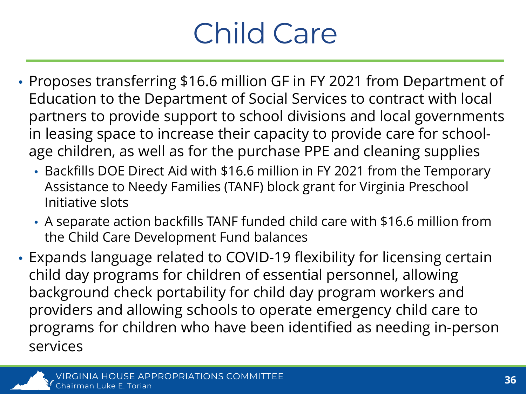## Child Care

- Proposes transferring \$16.6 million GF in FY 2021 from Department of Education to the Department of Social Services to contract with local partners to provide support to school divisions and local governments in leasing space to increase their capacity to provide care for schoolage children, as well as for the purchase PPE and cleaning supplies
	- Backfills DOE Direct Aid with \$16.6 million in FY 2021 from the Temporary Assistance to Needy Families (TANF) block grant for Virginia Preschool Initiative slots
	- A separate action backfills TANF funded child care with \$16.6 million from the Child Care Development Fund balances
- Expands language related to COVID-19 flexibility for licensing certain child day programs for children of essential personnel, allowing background check portability for child day program workers and providers and allowing schools to operate emergency child care to programs for children who have been identified as needing in-person services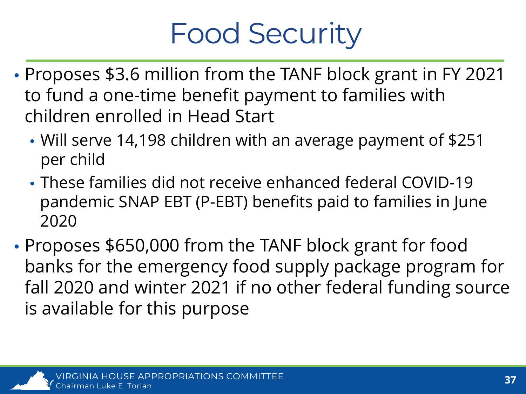## Food Security

- Proposes \$3.6 million from the TANF block grant in FY 2021 to fund a one-time benefit payment to families with children enrolled in Head Start
	- Will serve 14,198 children with an average payment of \$251 per child
	- These families did not receive enhanced federal COVID-19 pandemic SNAP EBT (P-EBT) benefits paid to families in June 2020
- Proposes \$650,000 from the TANF block grant for food banks for the emergency food supply package program for fall 2020 and winter 2021 if no other federal funding source is available for this purpose

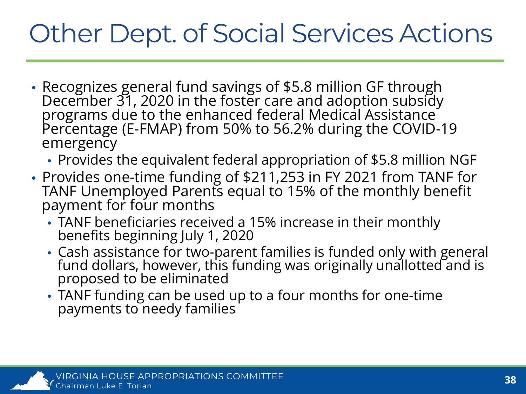#### Other Dept. of Social Services Actions

- Recognizes general fund savings of \$5.8 million GF through December 31, 2020 in the foster care and adoption subsidy programs due to the enhanced federal Medical Assistance Percentage (E-FMAP) from 50% to 56.2% during the COVID-19 emergency
	- Provides the equivalent federal appropriation of \$5.8 million NGF
- Provides one-time funding of \$211,253 in FY 2021 from TANF for TANF Unemployed Parents equal to 15% of the monthly benefit payment for four months
	- TANF beneficiaries received a 15% increase in their monthly benefits beginning July 1, 2020
	- Cash assistance for two-parent families is funded only with general fund dollars, however, this funding was originally unallotted and is proposed to be eliminated
	- TANF funding can be used up to a four months for one-time payments to needy families

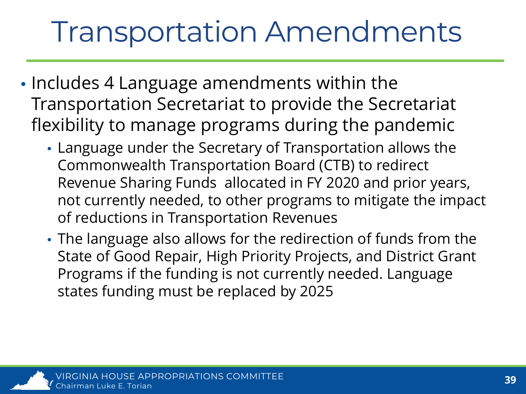## Transportation Amendments

- Includes 4 Language amendments within the Transportation Secretariat to provide the Secretariat flexibility to manage programs during the pandemic
	- Language under the Secretary of Transportation allows the Commonwealth Transportation Board (CTB) to redirect Revenue Sharing Funds allocated in FY 2020 and prior years, not currently needed, to other programs to mitigate the impact of reductions in Transportation Revenues
	- The language also allows for the redirection of funds from the State of Good Repair, High Priority Projects, and District Grant Programs if the funding is not currently needed. Language states funding must be replaced by 2025

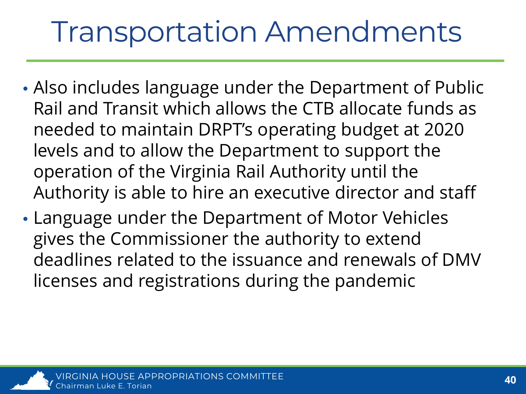## Transportation Amendments

- Also includes language under the Department of Public Rail and Transit which allows the CTB allocate funds as needed to maintain DRPT's operating budget at 2020 levels and to allow the Department to support the operation of the Virginia Rail Authority until the Authority is able to hire an executive director and staff
- Language under the Department of Motor Vehicles gives the Commissioner the authority to extend deadlines related to the issuance and renewals of DMV licenses and registrations during the pandemic